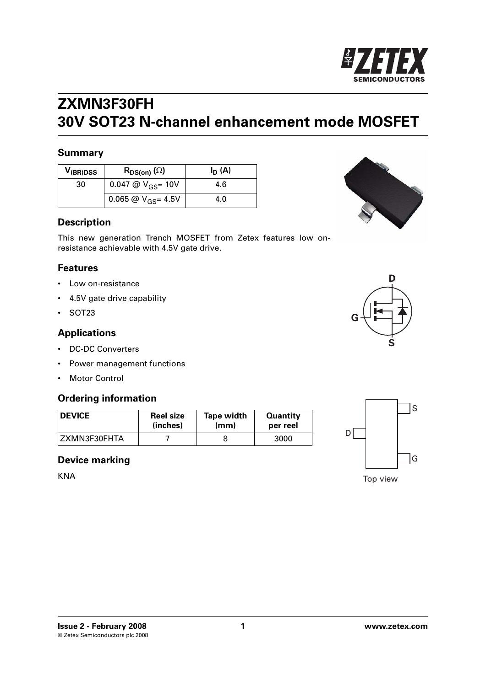

## **ZXMN3F30FH 30V SOT23 N-channel enhancement mode MOSFET**

### **Summary**

| V <sub>(Br)DSS</sub> | $R_{DS(on)}(\Omega)$    | $I_D(A)$ |
|----------------------|-------------------------|----------|
| 30                   | 0.047 @ $V_{GS}$ = 10V  | 4.6      |
|                      | 0.065 @ $V_{GS}$ = 4.5V | 4.0      |

### **Description**

This new generation Trench MOSFET from Zetex features low onresistance achievable with 4.5V gate drive.

### **Features**

- Low on-resistance
- 4.5V gate drive capability
- SOT23

### **Applications**

- DC-DC Converters
- Power management functions
- Motor Control

### **Ordering information**

| <b>DEVICE</b> | <b>Reel size</b> | <b>Tape width</b> | <b>Quantity</b> |
|---------------|------------------|-------------------|-----------------|
|               | (inches)         | (mm)              | per reel        |
| ZXMN3F30FHTA  |                  |                   | 3000            |

### **Device marking**

KNA







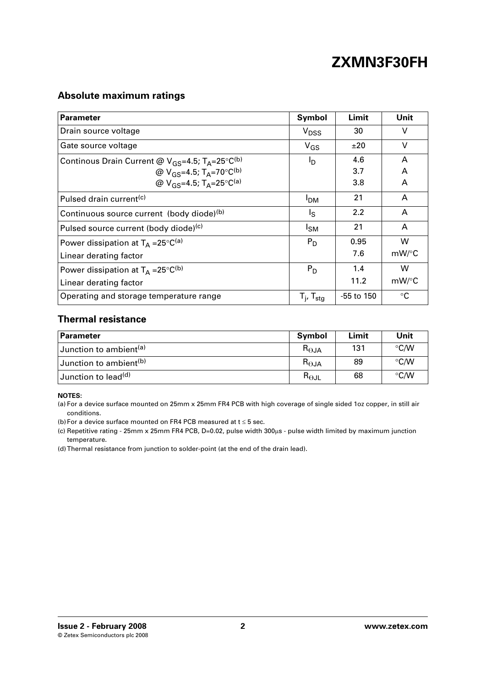## **Absolute maximum ratings**

| <b>Parameter</b>                                                             | Symbol                   | Limit      | Unit      |
|------------------------------------------------------------------------------|--------------------------|------------|-----------|
| Drain source voltage                                                         | V <sub>DSS</sub>         | 30         | $\vee$    |
| Gate source voltage                                                          | $V_{GS}$                 | ±20        | $\vee$    |
| Continous Drain Current @ $V_{GS}$ =4.5; T <sub>A</sub> =25°C <sup>(b)</sup> | Iр                       | 4.6        | A         |
| @ $V_{GS} = 4.5; T_A = 70°C(b)}$                                             |                          | 3.7        | A         |
| @ $V_{GS} = 4.5$ ; T <sub>A</sub> =25°C <sup>(a)</sup>                       |                          | 3.8        | A         |
| Pulsed drain current <sup>(c)</sup>                                          | <b>PDM</b>               | 21         | A         |
| Continuous source current (body diode)(b)                                    | Ιs                       | 2.2        | A         |
| Pulsed source current (body diode)(c)                                        | <sup>I</sup> SM          | 21         | A         |
| Power dissipation at $T_A = 25^{\circ}C^{(a)}$                               | $P_D$                    | 0.95       | W         |
| Linear derating factor                                                       |                          | 7.6        | mW/°C     |
| Power dissipation at $T_A = 25^{\circ}C^{(b)}$                               | $P_D$                    | 1.4        | W         |
| Linear derating factor                                                       |                          | 11.2       | mW/°C     |
| Operating and storage temperature range                                      | $T_i$ , $T_{\text{stg}}$ | -55 to 150 | $\circ$ C |

### **Thermal resistance**

| <b>Parameter</b>                   | Symbol                 | Limit | Unit          |
|------------------------------------|------------------------|-------|---------------|
| Junction to ambient <sup>(a)</sup> | $R_{\Theta}$ JA        | 131   | $\degree$ C/W |
| Junction to ambient <sup>(b)</sup> | $R_{\Theta JA}$        | 89    | °C/W          |
| Junction to lead <sup>(d)</sup>    | $R_{\Theta \text{JL}}$ | 68    | $\degree$ C/W |

### **NOTES:**

(a) For a device surface mounted on 25mm x 25mm FR4 PCB with high coverage of single sided 1oz copper, in still air conditions.

<span id="page-1-0"></span>(b) For a device surface mounted on FR4 PCB measured at  $t \leq 5$  sec.

<span id="page-1-1"></span>(c) Repetitive rating - 25mm x 25mm FR4 PCB, D=0.02, pulse width 300μs - pulse width limited by maximum junction temperature.

<span id="page-1-2"></span>(d) Thermal resistance from junction to solder-point (at the end of the drain lead).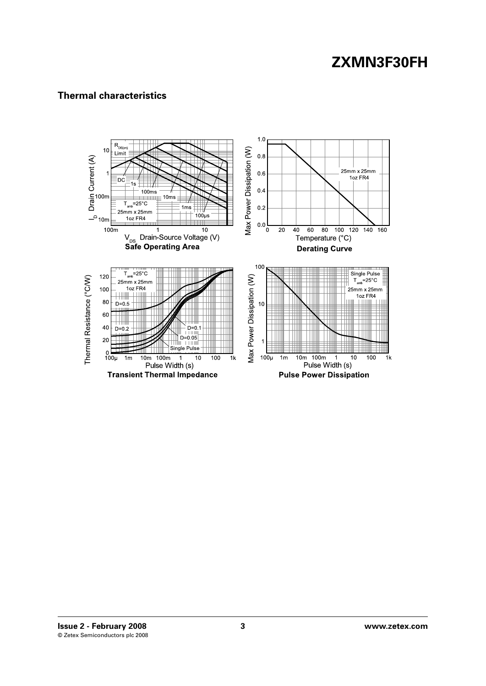## **Thermal characteristics**

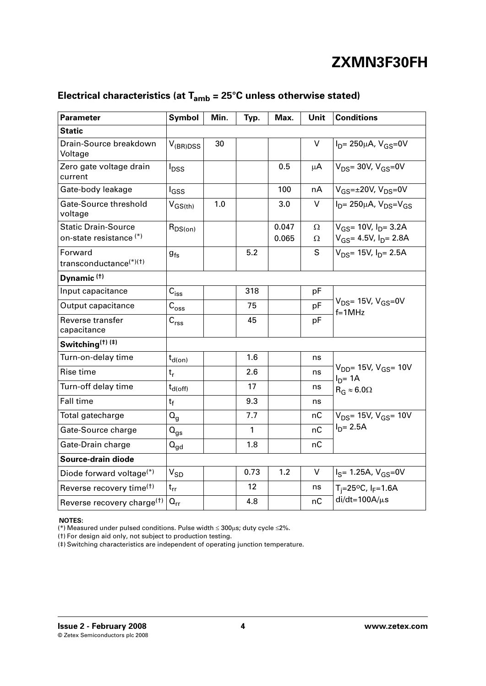| Parameter                                                        | Symbol                      | Min. | Typ. | Max.           | Unit    | <b>Conditions</b>                                                 |  |
|------------------------------------------------------------------|-----------------------------|------|------|----------------|---------|-------------------------------------------------------------------|--|
| <b>Static</b>                                                    |                             |      |      |                |         |                                                                   |  |
| Drain-Source breakdown<br>Voltage                                | $V_{(BR)DSS}$               | 30   |      |                | V       | $I_{D} = 250 \mu A$ , $V_{GS} = 0V$                               |  |
| Zero gate voltage drain<br>current                               | $I_{DSS}$                   |      |      | 0.5            | $\mu$ A | $V_{DS}$ = 30V, $V_{GS}$ = 0V                                     |  |
| Gate-body leakage                                                | <sup>I</sup> GSS            |      |      | 100            | nA      | $V$ <sub>GS</sub> = $\pm$ 20V, V <sub>DS</sub> =0V                |  |
| Gate-Source threshold<br>voltage                                 | $V_{GS(th)}$                | 1.0  |      | 3.0            | V       | $ID$ = 250µA, $VDS$ = $VGS$                                       |  |
| <b>Static Drain-Source</b><br>on-state resistance <sup>(*)</sup> | $R_{DS(on)}$                |      |      | 0.047<br>0.065 | Ω<br>Ω  | $V_{GS}$ = 10V, $I_{D}$ = 3.2A<br>$V_{GS}$ = 4.5V, $I_{D}$ = 2.8A |  |
| Forward<br>transconductance <sup>(*)(†)</sup>                    | $g_{fs}$                    |      | 5.2  |                | S       | $V_{DS}$ = 15V, $I_{D}$ = 2.5A                                    |  |
| Dynamic <sup>(†)</sup>                                           |                             |      |      |                |         |                                                                   |  |
| Input capacitance                                                | $C_{iss}$                   |      | 318  |                | pF      |                                                                   |  |
| Output capacitance                                               | $C_{\rm{oss}}$              |      | 75   |                | pF      | $V_{DS}$ = 15V, $V_{GS}$ = 0V<br>$f=1MHz$                         |  |
| Reverse transfer<br>capacitance                                  | $\mathsf{C}_{\mathsf{rss}}$ |      | 45   |                | pF      |                                                                   |  |
| Switching( <sup>†)(‡)</sup>                                      |                             |      |      |                |         |                                                                   |  |
| Turn-on-delay time                                               | $t_{d(on)}$                 |      | 1.6  |                | ns      |                                                                   |  |
| Rise time                                                        | $t_{r}$                     |      | 2.6  |                | ns      | $V_{DD}$ = 15V, $V_{GS}$ = 10V<br>$ID = 1A$                       |  |
| Turn-off delay time                                              | $t_{d(off)}$                |      | 17   |                | ns      | $R_G \approx 6.0\Omega$                                           |  |
| <b>Fall time</b>                                                 | $t_f$                       |      | 9.3  |                | ns      |                                                                   |  |
| Total gatecharge                                                 | $Q_{q}$                     |      | 7.7  |                | nC      | $V_{DS}$ = 15V, $V_{GS}$ = 10V                                    |  |
| Gate-Source charge                                               | $Q_{gs}$                    |      | 1    |                | nC      | $I_{D} = 2.5A$                                                    |  |
| Gate-Drain charge                                                | $Q_{gd}$                    |      | 1.8  |                | nС      |                                                                   |  |
| Source-drain diode                                               |                             |      |      |                |         |                                                                   |  |
| Diode forward voltage $(*)$                                      | $\rm V_{SD}$                |      | 0.73 | 1.2            | V       | $I_S = 1.25A, V_{GS} = 0V$                                        |  |
| Reverse recovery time <sup>(†)</sup>                             | $t_{rr}$                    |      | 12   |                | ns      | $T_i = 25^{\circ}C$ , $I_F = 1.6A$                                |  |
| Reverse recovery charge <sup>(†)</sup>                           | $Q_{rr}$                    |      | 4.8  |                | пC      | $di/dt = 100A/\mu s$                                              |  |

## **Electrical characteristics (at Tamb = 25°C unless otherwise stated)**

### **NOTES:**

<span id="page-3-0"></span>(\*) Measured under pulsed conditions. Pulse width ≤ 300μs; duty cycle ≤2%.

<span id="page-3-1"></span>(†) For design aid only, not subject to production testing.

(‡) Switching characteristics are independent of operating junction temperature.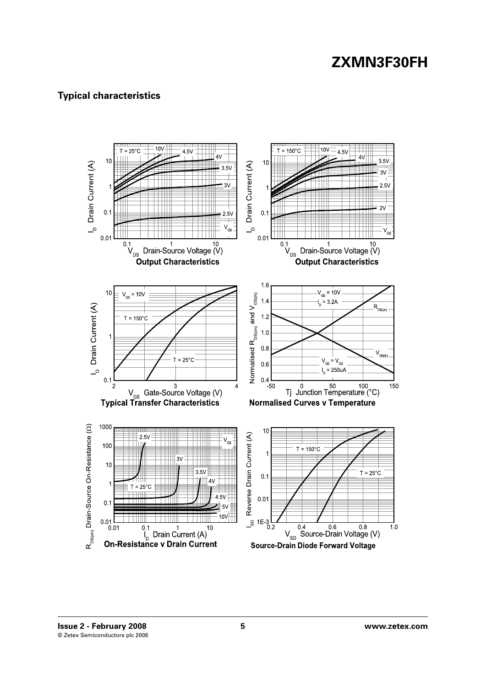## **Typical characteristics**

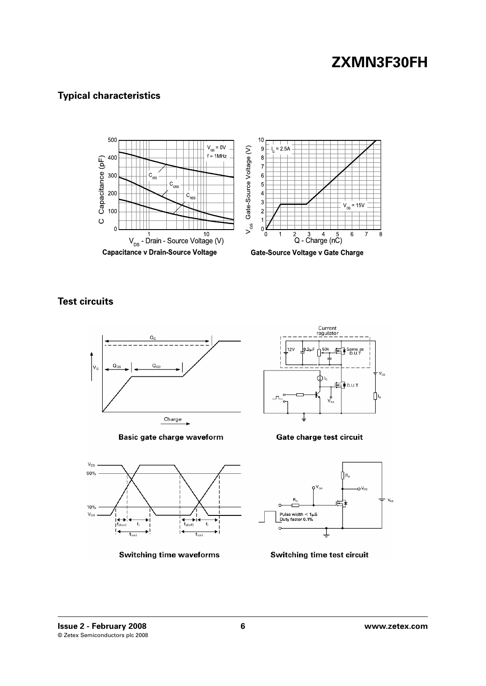## **Typical characteristics**



**Test circuits**



Basic gate charge waveform



**Switching time waveforms** 



Gate charge test circuit



Switching time test circuit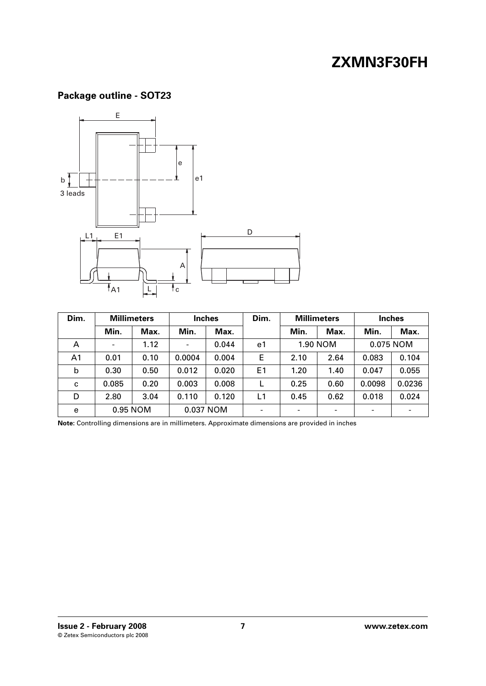## **Package outline - SOT23**



| Dim.           |                          | <b>Millimeters</b> |                          | <b>Inches</b> | Dim.           | <b>Millimeters</b>       |          | <b>Inches</b>            |           |
|----------------|--------------------------|--------------------|--------------------------|---------------|----------------|--------------------------|----------|--------------------------|-----------|
|                | Min.                     | Max.               | Min.                     | Max.          |                | Min.                     | Max.     | Min.                     | Max.      |
| A              | $\overline{\phantom{a}}$ | 1.12               | $\overline{\phantom{a}}$ | 0.044         | e1             |                          | 1.90 NOM |                          | 0.075 NOM |
| A <sub>1</sub> | 0.01                     | 0.10               | 0.0004                   | 0.004         | E              | 2.10                     | 2.64     | 0.083                    | 0.104     |
| b              | 0.30                     | 0.50               | 0.012                    | 0.020         | E <sub>1</sub> | 1.20                     | 1.40     | 0.047                    | 0.055     |
| C              | 0.085                    | 0.20               | 0.003                    | 0.008         |                | 0.25                     | 0.60     | 0.0098                   | 0.0236    |
| D              | 2.80                     | 3.04               | 0.110                    | 0.120         | L1             | 0.45                     | 0.62     | 0.018                    | 0.024     |
| e              |                          | 0.95 NOM           |                          | 0.037 NOM     |                | $\overline{\phantom{a}}$ |          | $\overline{\phantom{0}}$ |           |

**Note:** Controlling dimensions are in millimeters. Approximate dimensions are provided in inches